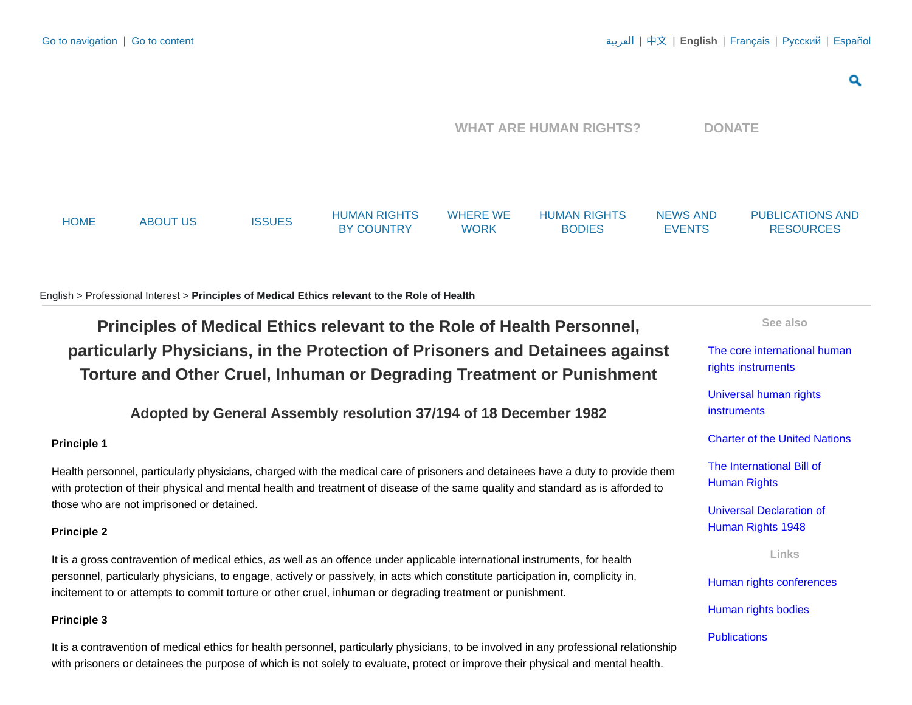Q

<span id="page-0-1"></span><span id="page-0-0"></span>